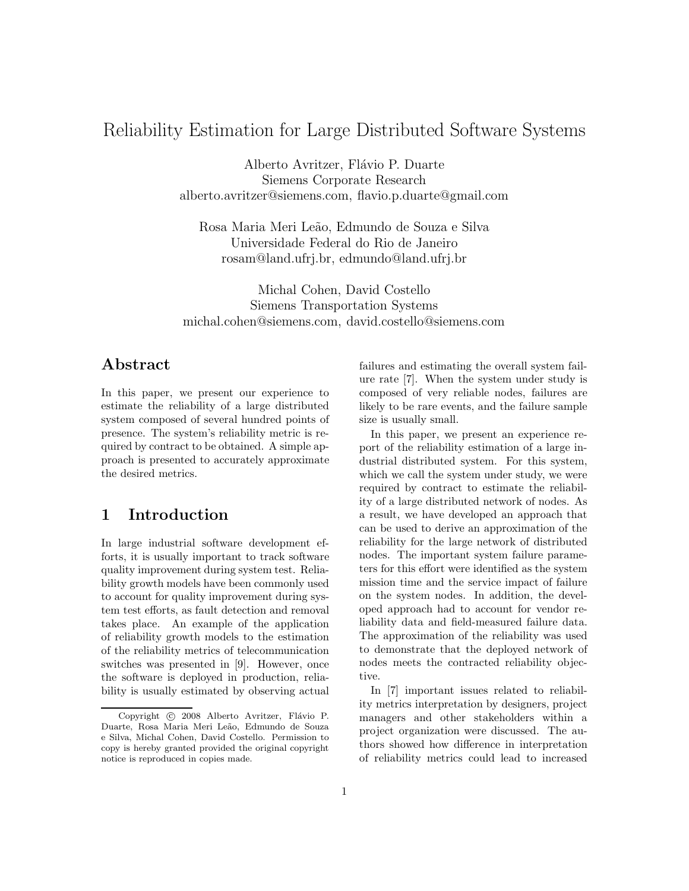# Reliability Estimation for Large Distributed Software Systems

Alberto Avritzer, Flávio P. Duarte Siemens Corporate Research alberto.avritzer@siemens.com, flavio.p.duarte@gmail.com

Rosa Maria Meri Leão, Edmundo de Souza e Silva Universidade Federal do Rio de Janeiro rosam@land.ufrj.br, edmundo@land.ufrj.br

Michal Cohen, David Costello Siemens Transportation Systems michal.cohen@siemens.com, david.costello@siemens.com

## Abstract

In this paper, we present our experience to estimate the reliability of a large distributed system composed of several hundred points of presence. The system's reliability metric is required by contract to be obtained. A simple approach is presented to accurately approximate the desired metrics.

## 1 Introduction

In large industrial software development efforts, it is usually important to track software quality improvement during system test. Reliability growth models have been commonly used to account for quality improvement during system test efforts, as fault detection and removal takes place. An example of the application of reliability growth models to the estimation of the reliability metrics of telecommunication switches was presented in [9]. However, once the software is deployed in production, reliability is usually estimated by observing actual

failures and estimating the overall system failure rate [7]. When the system under study is composed of very reliable nodes, failures are likely to be rare events, and the failure sample size is usually small.

In this paper, we present an experience report of the reliability estimation of a large industrial distributed system. For this system, which we call the system under study, we were required by contract to estimate the reliability of a large distributed network of nodes. As a result, we have developed an approach that can be used to derive an approximation of the reliability for the large network of distributed nodes. The important system failure parameters for this effort were identified as the system mission time and the service impact of failure on the system nodes. In addition, the developed approach had to account for vendor reliability data and field-measured failure data. The approximation of the reliability was used to demonstrate that the deployed network of nodes meets the contracted reliability objective.

In [7] important issues related to reliability metrics interpretation by designers, project managers and other stakeholders within a project organization were discussed. The authors showed how difference in interpretation of reliability metrics could lead to increased

Copyright (C) 2008 Alberto Avritzer, Flávio P. Duarte, Rosa Maria Meri Le˜ao, Edmundo de Souza e Silva, Michal Cohen, David Costello. Permission to copy is hereby granted provided the original copyright notice is reproduced in copies made.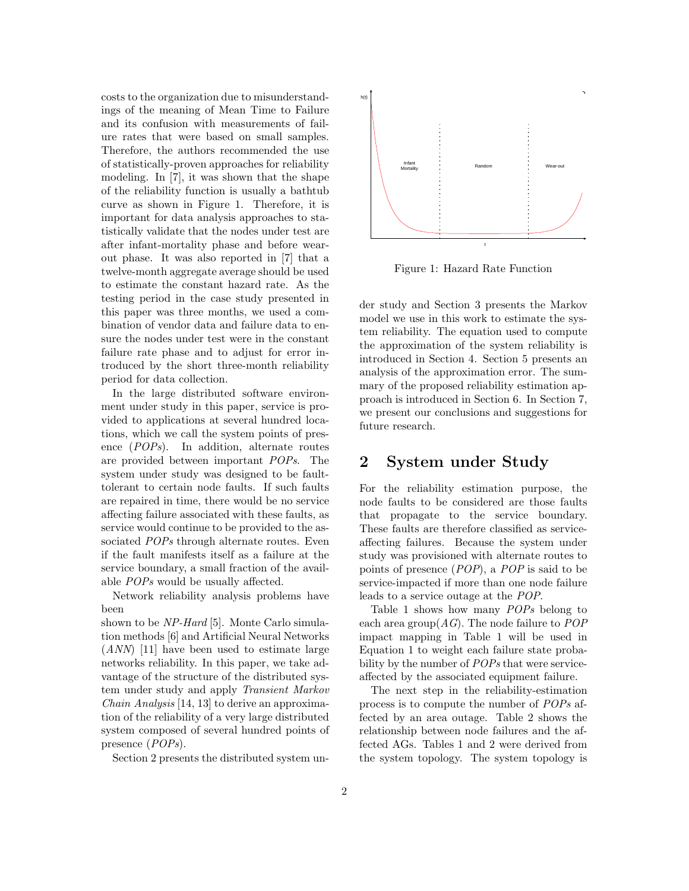costs to the organization due to misunderstandings of the meaning of Mean Time to Failure and its confusion with measurements of failure rates that were based on small samples. Therefore, the authors recommended the use of statistically-proven approaches for reliability modeling. In [7], it was shown that the shape of the reliability function is usually a bathtub curve as shown in Figure 1. Therefore, it is important for data analysis approaches to statistically validate that the nodes under test are after infant-mortality phase and before wearout phase. It was also reported in [7] that a twelve-month aggregate average should be used to estimate the constant hazard rate. As the testing period in the case study presented in this paper was three months, we used a combination of vendor data and failure data to ensure the nodes under test were in the constant failure rate phase and to adjust for error introduced by the short three-month reliability period for data collection.

In the large distributed software environment under study in this paper, service is provided to applications at several hundred locations, which we call the system points of presence (POPs). In addition, alternate routes are provided between important POPs. The system under study was designed to be faulttolerant to certain node faults. If such faults are repaired in time, there would be no service affecting failure associated with these faults, as service would continue to be provided to the associated *POPs* through alternate routes. Even if the fault manifests itself as a failure at the service boundary, a small fraction of the available POPs would be usually affected.

Network reliability analysis problems have been

shown to be NP-Hard [5]. Monte Carlo simulation methods [6] and Artificial Neural Networks (ANN) [11] have been used to estimate large networks reliability. In this paper, we take advantage of the structure of the distributed system under study and apply Transient Markov Chain Analysis [14, 13] to derive an approximation of the reliability of a very large distributed system composed of several hundred points of presence (*POPs*).

Section 2 presents the distributed system un-



Figure 1: Hazard Rate Function

der study and Section 3 presents the Markov model we use in this work to estimate the system reliability. The equation used to compute the approximation of the system reliability is introduced in Section 4. Section 5 presents an analysis of the approximation error. The summary of the proposed reliability estimation approach is introduced in Section 6. In Section 7, we present our conclusions and suggestions for future research.

### 2 System under Study

For the reliability estimation purpose, the node faults to be considered are those faults that propagate to the service boundary. These faults are therefore classified as serviceaffecting failures. Because the system under study was provisioned with alternate routes to points of presence (POP), a POP is said to be service-impacted if more than one node failure leads to a service outage at the POP.

Table 1 shows how many POPs belong to each area group $(AG)$ . The node failure to POP impact mapping in Table 1 will be used in Equation 1 to weight each failure state probability by the number of POPs that were serviceaffected by the associated equipment failure.

The next step in the reliability-estimation process is to compute the number of POPs affected by an area outage. Table 2 shows the relationship between node failures and the affected AGs. Tables 1 and 2 were derived from the system topology. The system topology is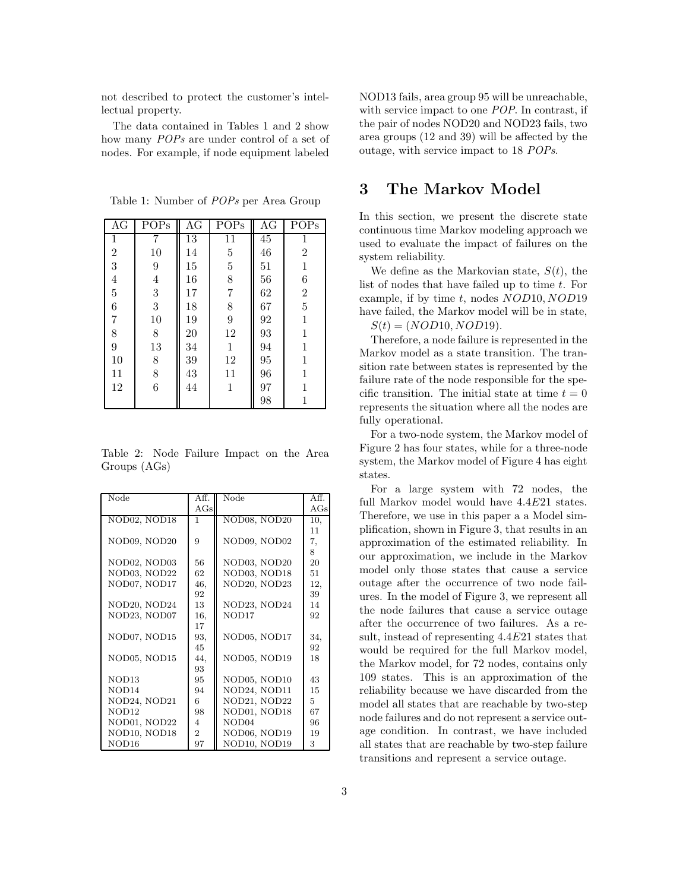not described to protect the customer's intellectual property.

The data contained in Tables 1 and 2 show how many *POPs* are under control of a set of nodes. For example, if node equipment labeled

| AG             | <b>POPs</b> | AG     | <b>POPs</b>    | AG                | POPs           |
|----------------|-------------|--------|----------------|-------------------|----------------|
| 1              | 7           | 13     | 11             | 45                | 1              |
| $\sqrt{2}$     | 10          | 14     | $\overline{5}$ | 46                | $\overline{2}$ |
| $\overline{3}$ | 9           | 15     | $\overline{5}$ | 51                | $\mathbf{1}$   |
| $\overline{4}$ | 4           | 16     | 8              | 56                | 6              |
| $\overline{5}$ | 3           | 17     | $\overline{7}$ | 62                | $\overline{2}$ |
| $\,6$          | 3           | 18     | 8              | 67                | $\overline{5}$ |
| $\overline{7}$ | 10          | 19     | 9              | $\boldsymbol{92}$ | $\mathbf{1}$   |
| 8              | 8           | 20     | 12             | 93                | $\mathbf{1}$   |
| 9              | 13          | 34     | $\,1$          | 94                | $\mathbf{1}$   |
| 10             | 8           | $39\,$ | 12             | $\rm 95$          | $\mathbf{1}$   |
| 11             | 8           | 43     | 11             | 96                | $\mathbf{1}$   |
| 12             | 6           | 44     | $\mathbf{1}$   | 97                | $\mathbf{1}$   |
|                |             |        |                | 98                | $\mathbf 1$    |

Table 1: Number of POPs per Area Group

Table 2: Node Failure Impact on the Area Groups (AGs)

| Node              | Aff.           | Node              | Aff. |
|-------------------|----------------|-------------------|------|
|                   | AGs            |                   | AGs  |
| NOD02, NOD18      | 1              | NOD08, NOD20      | 10.  |
|                   |                |                   | 11   |
| NOD09, NOD20      | 9              | NOD09, NOD02      | 7.   |
|                   |                |                   | 8    |
| NOD02, NOD03      | 56             | NOD03, NOD20      | 20   |
| NOD03, NOD22      | 62             | NOD03, NOD18      | 51   |
| NOD07, NOD17      | 46,            | NOD20, NOD23      | 12,  |
|                   | 92             |                   | 39   |
| NOD20, NOD24      | 13             | NOD23, NOD24      | 14   |
| NOD23, NOD07      | 16.            | NOD <sub>17</sub> | 92   |
|                   | 17             |                   |      |
| NOD07, NOD15      | 93.            | NOD05, NOD17      | 34,  |
|                   | 45             |                   | 92   |
| NOD05, NOD15      | 44,            | NOD05, NOD19      | 18   |
|                   | 93             |                   |      |
| NOD13             | 95             | NOD05, NOD10      | 43   |
| NOD <sub>14</sub> | 94             | NOD24, NOD11      | 15   |
| NOD24, NOD21      | 6              | NOD21, NOD22      | 5    |
| NOD <sub>12</sub> | 98             | NOD01, NOD18      | 67   |
| NOD01, NOD22      | 4              | NOD <sub>04</sub> | 96   |
| NOD10, NOD18      | $\overline{2}$ | NOD06, NOD19      | 19   |
| NOD16             | 97             | NOD10, NOD19      | 3    |

NOD13 fails, area group 95 will be unreachable, with service impact to one *POP*. In contrast, if the pair of nodes NOD20 and NOD23 fails, two area groups (12 and 39) will be affected by the outage, with service impact to 18 POPs.

### 3 The Markov Model

In this section, we present the discrete state continuous time Markov modeling approach we used to evaluate the impact of failures on the system reliability.

We define as the Markovian state,  $S(t)$ , the list of nodes that have failed up to time  $t$ . For example, if by time t, nodes  $NOD10, NOD19$ have failed, the Markov model will be in state,

 $S(t) = (NOD10, NOD19).$ 

Therefore, a node failure is represented in the Markov model as a state transition. The transition rate between states is represented by the failure rate of the node responsible for the specific transition. The initial state at time  $t = 0$ represents the situation where all the nodes are fully operational.

For a two-node system, the Markov model of Figure 2 has four states, while for a three-node system, the Markov model of Figure 4 has eight states.

For a large system with 72 nodes, the full Markov model would have 4.4E21 states. Therefore, we use in this paper a a Model simplification, shown in Figure 3, that results in an approximation of the estimated reliability. In our approximation, we include in the Markov model only those states that cause a service outage after the occurrence of two node failures. In the model of Figure 3, we represent all the node failures that cause a service outage after the occurrence of two failures. As a result, instead of representing 4.4E21 states that would be required for the full Markov model, the Markov model, for 72 nodes, contains only 109 states. This is an approximation of the reliability because we have discarded from the model all states that are reachable by two-step node failures and do not represent a service outage condition. In contrast, we have included all states that are reachable by two-step failure transitions and represent a service outage.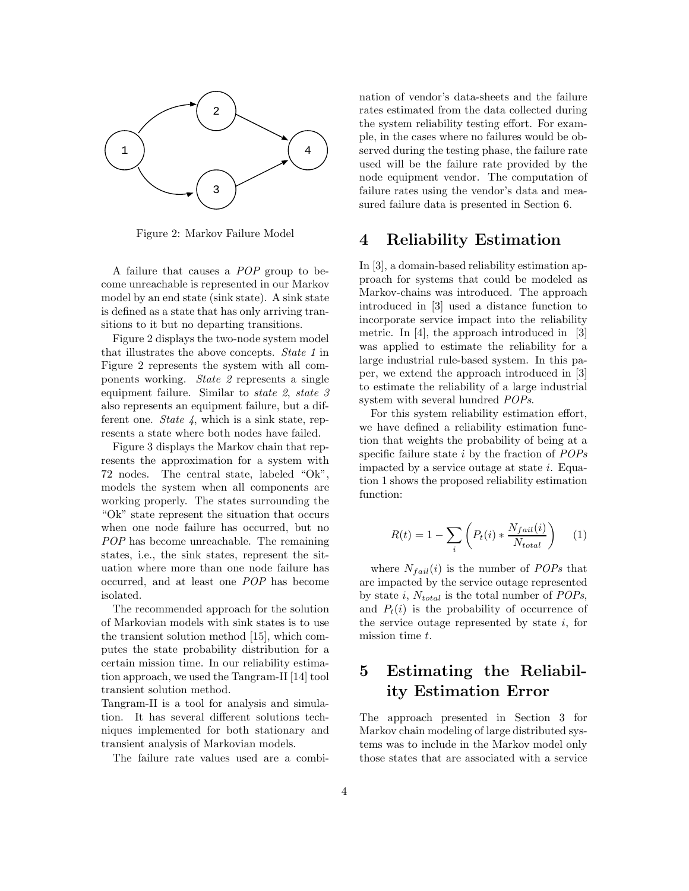

Figure 2: Markov Failure Model

A failure that causes a POP group to become unreachable is represented in our Markov model by an end state (sink state). A sink state is defined as a state that has only arriving transitions to it but no departing transitions.

Figure 2 displays the two-node system model that illustrates the above concepts. State 1 in Figure 2 represents the system with all components working. State 2 represents a single equipment failure. Similar to state 2, state 3 also represents an equipment failure, but a different one. State  $4$ , which is a sink state, represents a state where both nodes have failed.

Figure 3 displays the Markov chain that represents the approximation for a system with 72 nodes. The central state, labeled "Ok", models the system when all components are working properly. The states surrounding the "Ok" state represent the situation that occurs when one node failure has occurred, but no POP has become unreachable. The remaining states, i.e., the sink states, represent the situation where more than one node failure has occurred, and at least one POP has become isolated.

The recommended approach for the solution of Markovian models with sink states is to use the transient solution method [15], which computes the state probability distribution for a certain mission time. In our reliability estimation approach, we used the Tangram-II [14] tool transient solution method.

Tangram-II is a tool for analysis and simulation. It has several different solutions techniques implemented for both stationary and transient analysis of Markovian models.

The failure rate values used are a combi-

nation of vendor's data-sheets and the failure rates estimated from the data collected during the system reliability testing effort. For example, in the cases where no failures would be observed during the testing phase, the failure rate used will be the failure rate provided by the node equipment vendor. The computation of failure rates using the vendor's data and measured failure data is presented in Section 6.

### 4 Reliability Estimation

In [3], a domain-based reliability estimation approach for systems that could be modeled as Markov-chains was introduced. The approach introduced in [3] used a distance function to incorporate service impact into the reliability metric. In [4], the approach introduced in [3] was applied to estimate the reliability for a large industrial rule-based system. In this paper, we extend the approach introduced in [3] to estimate the reliability of a large industrial system with several hundred POPs.

For this system reliability estimation effort, we have defined a reliability estimation function that weights the probability of being at a specific failure state i by the fraction of POPs impacted by a service outage at state  $i$ . Equation 1 shows the proposed reliability estimation function:

$$
R(t) = 1 - \sum_{i} \left( P_t(i) * \frac{N_{fail}(i)}{N_{total}} \right) \tag{1}
$$

where  $N_{fail}(i)$  is the number of *POPs* that are impacted by the service outage represented by state i,  $N_{total}$  is the total number of  $POPs$ , and  $P_t(i)$  is the probability of occurrence of the service outage represented by state  $i$ , for mission time t.

# 5 Estimating the Reliability Estimation Error

The approach presented in Section 3 for Markov chain modeling of large distributed systems was to include in the Markov model only those states that are associated with a service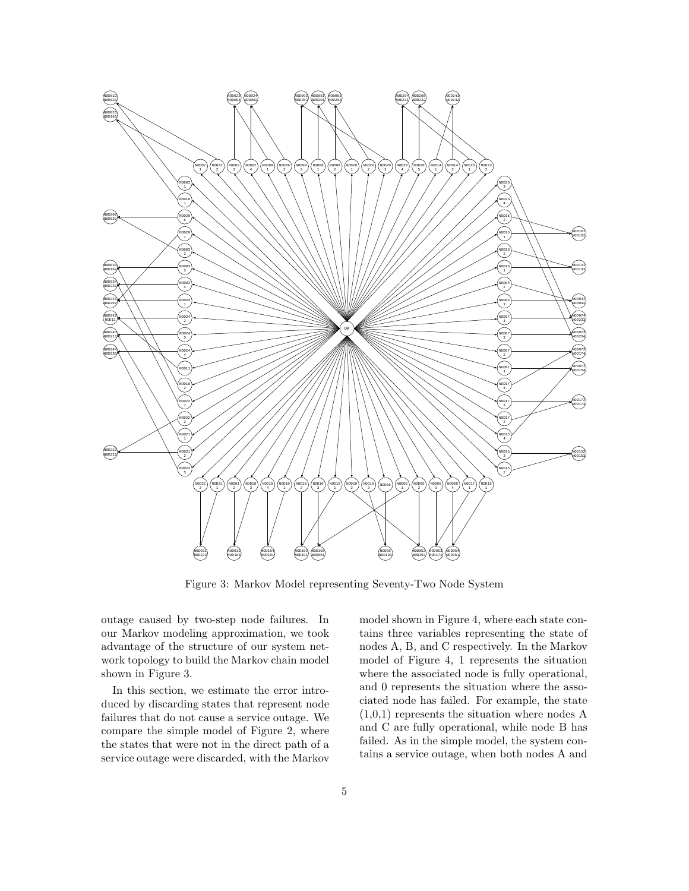

Figure 3: Markov Model representing Seventy-Two Node System

outage caused by two-step node failures. In our Markov modeling approximation, we took advantage of the structure of our system network topology to build the Markov chain model shown in Figure 3.

In this section, we estimate the error introduced by discarding states that represent node failures that do not cause a service outage. We compare the simple model of Figure 2, where the states that were not in the direct path of a service outage were discarded, with the Markov model shown in Figure 4, where each state contains three variables representing the state of nodes A, B, and C respectively. In the Markov model of Figure 4, 1 represents the situation where the associated node is fully operational, and 0 represents the situation where the associated node has failed. For example, the state  $(1,0,1)$  represents the situation where nodes A and C are fully operational, while node B has failed. As in the simple model, the system contains a service outage, when both nodes A and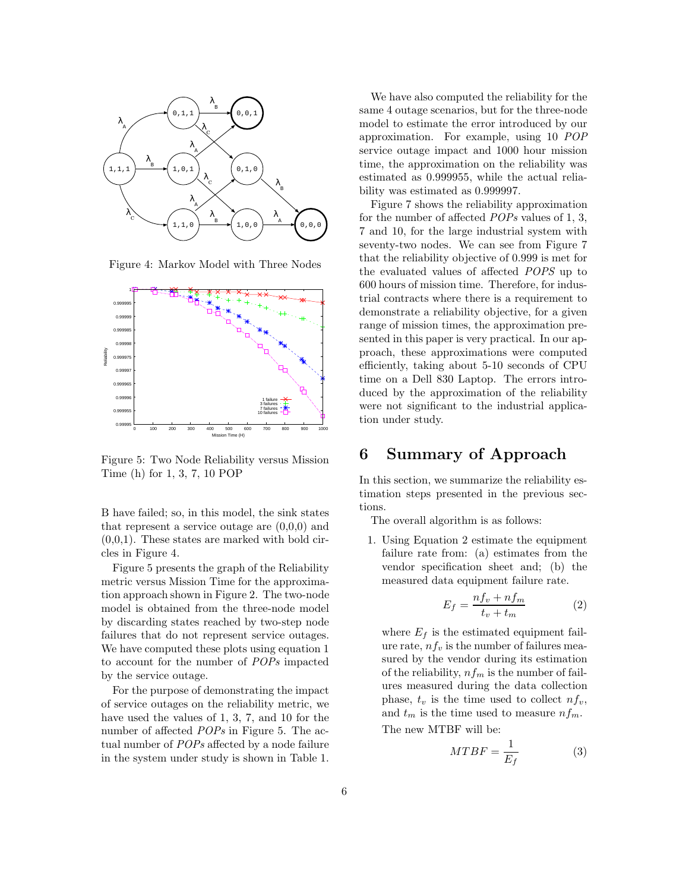

Figure 4: Markov Model with Three Nodes



Figure 5: Two Node Reliability versus Mission Time (h) for 1, 3, 7, 10 POP

B have failed; so, in this model, the sink states that represent a service outage are  $(0,0,0)$  and  $(0,0,1)$ . These states are marked with bold circles in Figure 4.

Figure 5 presents the graph of the Reliability metric versus Mission Time for the approximation approach shown in Figure 2. The two-node model is obtained from the three-node model by discarding states reached by two-step node failures that do not represent service outages. We have computed these plots using equation 1 to account for the number of POPs impacted by the service outage.

For the purpose of demonstrating the impact of service outages on the reliability metric, we have used the values of 1, 3, 7, and 10 for the number of affected *POPs* in Figure 5. The actual number of POPs affected by a node failure in the system under study is shown in Table 1.

We have also computed the reliability for the same 4 outage scenarios, but for the three-node model to estimate the error introduced by our approximation. For example, using 10 POP service outage impact and 1000 hour mission time, the approximation on the reliability was estimated as 0.999955, while the actual reliability was estimated as 0.999997.

Figure 7 shows the reliability approximation for the number of affected POPs values of 1, 3, 7 and 10, for the large industrial system with seventy-two nodes. We can see from Figure 7 that the reliability objective of 0.999 is met for the evaluated values of affected POPS up to 600 hours of mission time. Therefore, for industrial contracts where there is a requirement to demonstrate a reliability objective, for a given range of mission times, the approximation presented in this paper is very practical. In our approach, these approximations were computed efficiently, taking about 5-10 seconds of CPU time on a Dell 830 Laptop. The errors introduced by the approximation of the reliability were not significant to the industrial application under study.

# 6 Summary of Approach

In this section, we summarize the reliability estimation steps presented in the previous sections.

The overall algorithm is as follows:

1. Using Equation 2 estimate the equipment failure rate from: (a) estimates from the vendor specification sheet and; (b) the measured data equipment failure rate.

$$
E_f = \frac{nf_v + nf_m}{t_v + t_m} \tag{2}
$$

where  $E_f$  is the estimated equipment failure rate,  $nf_v$  is the number of failures measured by the vendor during its estimation of the reliability,  $nf_m$  is the number of failures measured during the data collection phase,  $t_v$  is the time used to collect  $nf_v$ , and  $t_m$  is the time used to measure  $nf_m$ . The new MTBF will be:

$$
MTBF = \frac{1}{E_f} \tag{3}
$$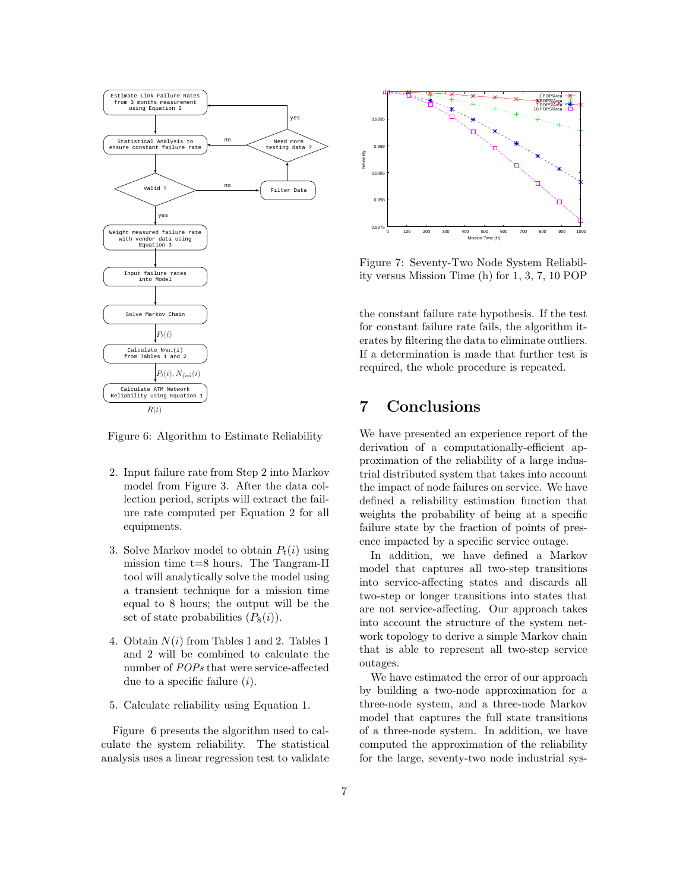

Figure 6: Algorithm to Estimate Reliability

- 2. Input failure rate from Step 2 into Markov model from Figure 3. After the data collection period, scripts will extract the failure rate computed per Equation 2 for all equipments.
- 3. Solve Markov model to obtain  $P_t(i)$  using mission time t=8 hours. The Tangram-II tool will analytically solve the model using a transient technique for a mission time equal to 8 hours; the output will be the set of state probabilities  $(P_8(i))$ .
- 4. Obtain  $N(i)$  from Tables 1 and 2. Tables 1 and 2 will be combined to calculate the number of POPs that were service-affected due to a specific failure  $(i)$ .
- 5. Calculate reliability using Equation 1.

Figure 6 presents the algorithm used to calculate the system reliability. The statistical analysis uses a linear regression test to validate



Figure 7: Seventy-Two Node System Reliability versus Mission Time (h) for 1, 3, 7, 10 POP

the constant failure rate hypothesis. If the test for constant failure rate fails, the algorithm iterates by filtering the data to eliminate outliers. If a determination is made that further test is required, the whole procedure is repeated.

### 7 Conclusions

We have presented an experience report of the derivation of a computationally-efficient approximation of the reliability of a large industrial distributed system that takes into account the impact of node failures on service. We have defined a reliability estimation function that weights the probability of being at a specific failure state by the fraction of points of presence impacted by a specific service outage.

In addition, we have defined a Markov model that captures all two-step transitions into service-affecting states and discards all two-step or longer transitions into states that are not service-affecting. Our approach takes into account the structure of the system network topology to derive a simple Markov chain that is able to represent all two-step service outages.

We have estimated the error of our approach by building a two-node approximation for a three-node system, and a three-node Markov model that captures the full state transitions of a three-node system. In addition, we have computed the approximation of the reliability for the large, seventy-two node industrial sys-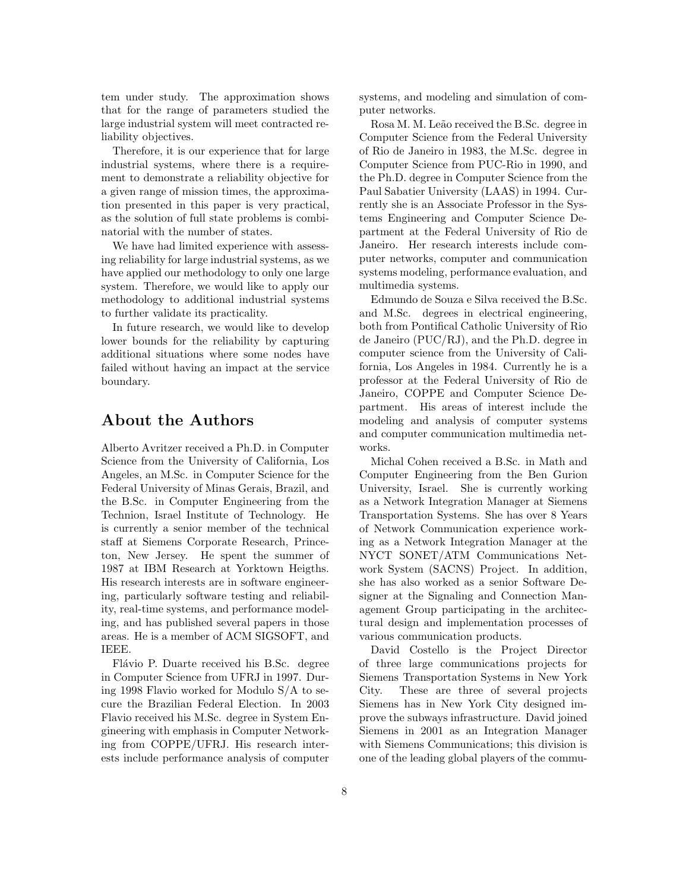tem under study. The approximation shows that for the range of parameters studied the large industrial system will meet contracted reliability objectives.

Therefore, it is our experience that for large industrial systems, where there is a requirement to demonstrate a reliability objective for a given range of mission times, the approximation presented in this paper is very practical, as the solution of full state problems is combinatorial with the number of states.

We have had limited experience with assessing reliability for large industrial systems, as we have applied our methodology to only one large system. Therefore, we would like to apply our methodology to additional industrial systems to further validate its practicality.

In future research, we would like to develop lower bounds for the reliability by capturing additional situations where some nodes have failed without having an impact at the service boundary.

### About the Authors

Alberto Avritzer received a Ph.D. in Computer Science from the University of California, Los Angeles, an M.Sc. in Computer Science for the Federal University of Minas Gerais, Brazil, and the B.Sc. in Computer Engineering from the Technion, Israel Institute of Technology. He is currently a senior member of the technical staff at Siemens Corporate Research, Princeton, New Jersey. He spent the summer of 1987 at IBM Research at Yorktown Heigths. His research interests are in software engineering, particularly software testing and reliability, real-time systems, and performance modeling, and has published several papers in those areas. He is a member of ACM SIGSOFT, and IEEE.

Flávio P. Duarte received his B.Sc. degree in Computer Science from UFRJ in 1997. During 1998 Flavio worked for Modulo S/A to secure the Brazilian Federal Election. In 2003 Flavio received his M.Sc. degree in System Engineering with emphasis in Computer Networking from COPPE/UFRJ. His research interests include performance analysis of computer

systems, and modeling and simulation of computer networks.

Rosa M. M. Leão received the B.Sc. degree in Computer Science from the Federal University of Rio de Janeiro in 1983, the M.Sc. degree in Computer Science from PUC-Rio in 1990, and the Ph.D. degree in Computer Science from the Paul Sabatier University (LAAS) in 1994. Currently she is an Associate Professor in the Systems Engineering and Computer Science Department at the Federal University of Rio de Janeiro. Her research interests include computer networks, computer and communication systems modeling, performance evaluation, and multimedia systems.

Edmundo de Souza e Silva received the B.Sc. and M.Sc. degrees in electrical engineering, both from Pontifical Catholic University of Rio de Janeiro (PUC/RJ), and the Ph.D. degree in computer science from the University of California, Los Angeles in 1984. Currently he is a professor at the Federal University of Rio de Janeiro, COPPE and Computer Science Department. His areas of interest include the modeling and analysis of computer systems and computer communication multimedia networks.

Michal Cohen received a B.Sc. in Math and Computer Engineering from the Ben Gurion University, Israel. She is currently working as a Network Integration Manager at Siemens Transportation Systems. She has over 8 Years of Network Communication experience working as a Network Integration Manager at the NYCT SONET/ATM Communications Network System (SACNS) Project. In addition, she has also worked as a senior Software Designer at the Signaling and Connection Management Group participating in the architectural design and implementation processes of various communication products.

David Costello is the Project Director of three large communications projects for Siemens Transportation Systems in New York City. These are three of several projects Siemens has in New York City designed improve the subways infrastructure. David joined Siemens in 2001 as an Integration Manager with Siemens Communications; this division is one of the leading global players of the commu